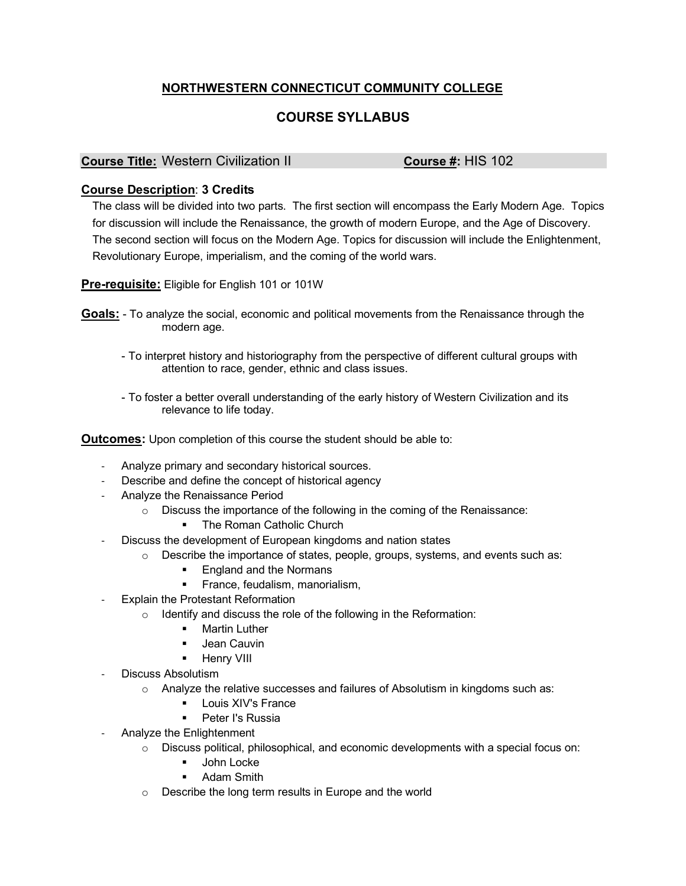## **NORTHWESTERN CONNECTICUT COMMUNITY COLLEGE**

## **COURSE SYLLABUS**

**Course Title:** Western Civilization II **Course #:** HIS 102

## **Course Description**: **3 Credits**

The class will be divided into two parts. The first section will encompass the Early Modern Age. Topics for discussion will include the Renaissance, the growth of modern Europe, and the Age of Discovery. The second section will focus on the Modern Age. Topics for discussion will include the Enlightenment, Revolutionary Europe, imperialism, and the coming of the world wars.

**Pre-requisite:** Eligible for English 101 or 101W

**Goals:** - To analyze the social, economic and political movements from the Renaissance through the modern age.

- To interpret history and historiography from the perspective of different cultural groups with attention to race, gender, ethnic and class issues.
- To foster a better overall understanding of the early history of Western Civilization and its relevance to life today.

**Outcomes:** Upon completion of this course the student should be able to:

- Analyze primary and secondary historical sources.
- Describe and define the concept of historical agency
- Analyze the Renaissance Period
	- o Discuss the importance of the following in the coming of the Renaissance:
		- The Roman Catholic Church
- Discuss the development of European kingdoms and nation states
	- $\circ$  Describe the importance of states, people, groups, systems, and events such as:
		- England and the Normans
		- **•** France, feudalism, manorialism,
- Explain the Protestant Reformation
	- o Identify and discuss the role of the following in the Reformation:
		- **Martin Luther**
		- Jean Cauvin
		- Henry VIII
- Discuss Absolutism
	- $\circ$  Analyze the relative successes and failures of Absolutism in kingdoms such as:
		- § Louis XIV's France
		- Peter I's Russia
- Analyze the Enlightenment
	- o Discuss political, philosophical, and economic developments with a special focus on:
		- § John Locke
		- Adam Smith
	- o Describe the long term results in Europe and the world